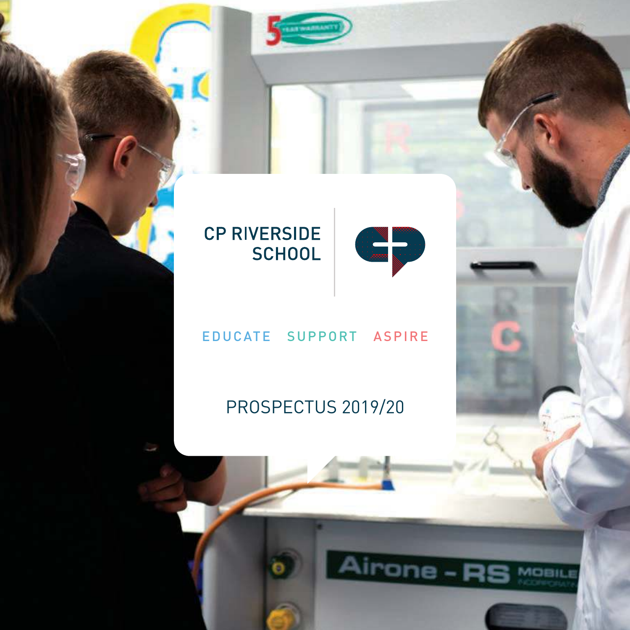



#### **CP RIVERSIDE SCHOOL**

T.

#### EDUCATE SUPPORT ASPIRE

#### PROSPECTUS 2019/20

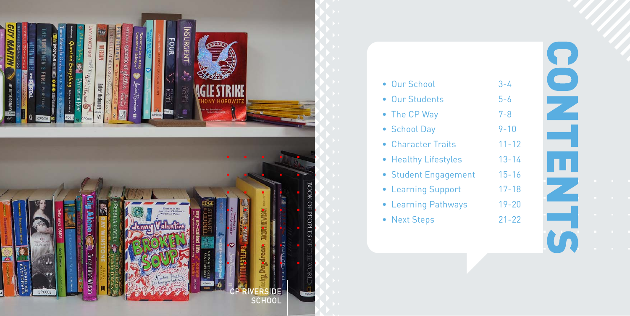

| • Our School         | $3 - 4$   |
|----------------------|-----------|
| • Our Students       | $5 - 6$   |
| • The CP Way         | $7 - 8$   |
| • School Day         | $9 - 10$  |
| • Character Traits   | $11 - 12$ |
| • Healthy Lifestyles | $13 - 14$ |
| • Student Engagement | $15 - 16$ |
| • Learning Support   | $17 - 18$ |
| • Learning Pathways  | $19 - 20$ |
|                      |           |

• Next Steps 21-22

2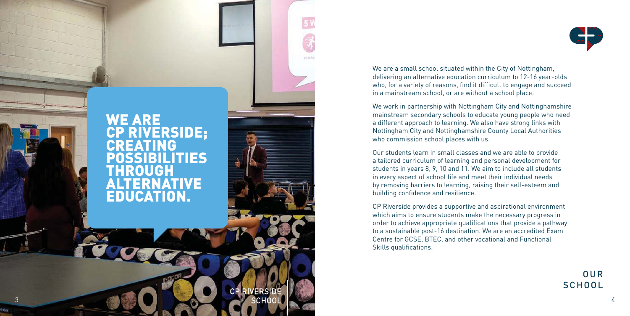

We are a small school situated within the City of Nottingham, delivering an alternative education curriculum to 12-16 year-olds who, for a variety of reasons, find it difficult to engage and succeed in a mainstream school, or are without a school place.

We work in partnership with Nottingham City and Nottinghamshire mainstream secondary schools to educate young people who need a different approach to learning. We also have strong links with Nottingham City and Nottinghamshire County Local Authorities who commission school places with us.

Our students learn in small classes and we are able to provide a tailored curriculum of learning and personal development for students in years 8, 9, 10 and 11. We aim to include all students in every aspect of school life and meet their individual needs by removing barriers to learning, raising their self-esteem and building confidence and resilience.

CP Riverside provides a supportive and aspirational environment which aims to ensure students make the necessary progress in order to achieve appropriate qualifications that provide a pathway to a sustainable post-16 destination. We are an accredited Exam Centre for GCSE, BTEC, and other vocational and Functional Skills qualifications.

> OUR **SCHOOL**

 $51$ 

as serio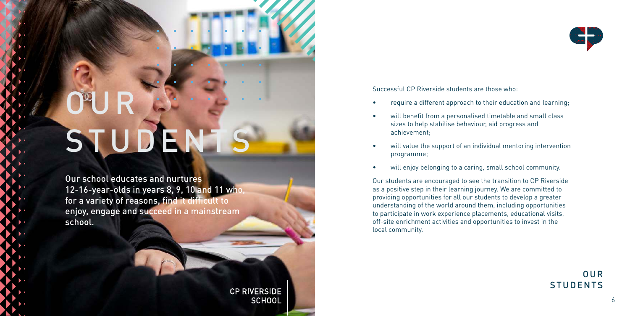### OUR STUDENT

Our school educates and nurtures 12-16-year-olds in years 8, 9, 10 and 11 who, for a variety of reasons, find it difficult to enjoy, engage and succeed in a mainstream school.

> **CP RIVERSIDE SCHOOL**



Successful CP Riverside students are those who:

- require a different approach to their education and learning;
- will benefit from a personalised timetable and small class sizes to help stabilise behaviour, aid progress and achievement;
- will value the support of an individual mentoring intervention programme;
- will enjoy belonging to a caring, small school community.

Our students are encouraged to see the transition to CP Riverside as a positive step in their learning journey. We are committed to providing opportunities for all our students to develop a greater understanding of the world around them, including opportunities to participate in work experience placements, educational visits, off-site enrichment activities and opportunities to invest in the local community.

> OUR STUDENTS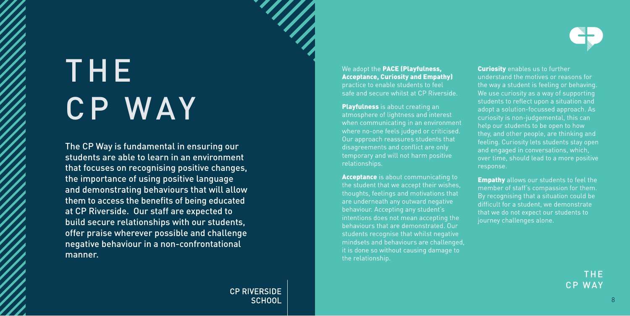## THE CP WAY

The CP Way is fundamental in ensuring our students are able to learn in an environment that focuses on recognising positive changes, the importance of using positive language and demonstrating behaviours that will allow them to access the benefits of being educated at CP Riverside. Our staff are expected to build secure relationships with our students, offer praise wherever possible and challenge negative behaviour in a non-confrontational manner.

> **CP RIVERSIDE SCHOOL**

We adopt the PACE (Playfulness, Acceptance, Curiosity and Empathy) practice to enable students to feel safe and secure whilst at CP Riverside.

**Playfulness** is about creating an atmosphere of lightness and interest where no-one feels judged or criticised. Our approach reassures students that disagreements and conflict are only temporary and will not harm positive relationships.

**Acceptance** is about communicating to the student that we accept their wishes, thoughts, feelings and motivations that are underneath any outward negative behaviour. Accepting any student's intentions does not mean accepting the behaviours that are demonstrated. Our students recognise that whilst negative mindsets and behaviours are challenged, it is done so without causing damage to the relationship.

**Curiosity** enables us to further understand the motives or reasons for the way a student is feeling or behaving. We use curiosity as a way of supporting students to reflect upon a situation and adopt a solution-focussed approach. As curiosity is non-judgemental, this can help our students to be open to how they, and other people, are thinking and feeling. Curiosity lets students stay open and engaged in conversations, which, over time, should lead to a more positive response.

**Empathy** allows our students to feel the member of staff's compassion for them. By recognising that a situation could be difficult for a student, we demonstrate that we do not expect our students to journey challenges alone.

> THE CP WAY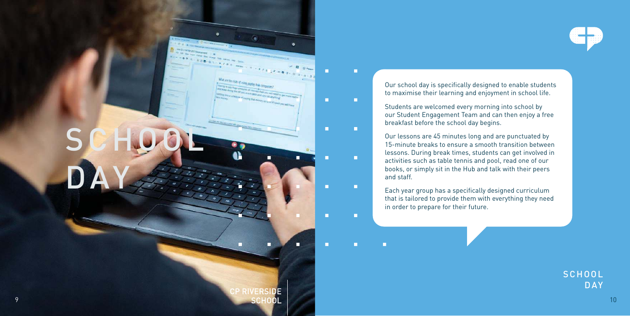

S C HOOL DAY

Our school day is specifically designed to enable students to maximise their learning and enjoyment in school life.

Students are welcomed every morning into school by our Student Engagement Team and can then enjoy a free breakfast before the school day begins.

n

m.

T

Our lessons are 45 minutes long and are punctuated by 15-minute breaks to ensure a smooth transition between lessons. During break times, students can get involved in activities such as table tennis and pool, read one of our books, or simply sit in the Hub and talk with their peers and staff.

Each year group has a specifically designed curriculum that is tailored to provide them with everything they need in order to prepare for their future.

> **SCHOOL** DAY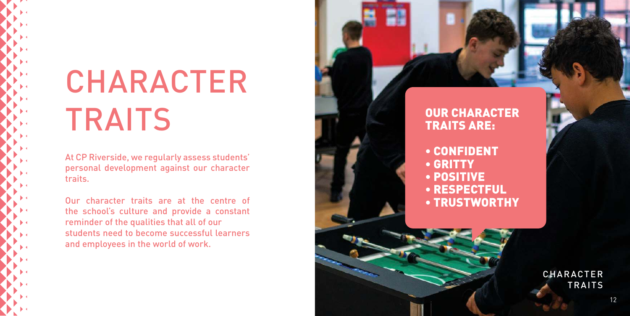### CHARACTER **TRAITS**

At CP Riverside, we regularly assess students' personal development against our character traits.

Our character traits are at the centre of the school's culture and provide a constant reminder of the qualities that all of our students need to become successful learners and employees in the world of work.

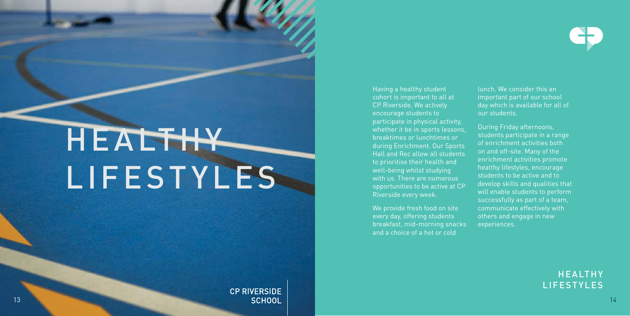### HEALTHY LIFESTYLES

Having a healthy student cohort is important to all at CP Riverside. We actively encourage students to participate in physical activity, whether it be in sports lessons, breaktimes or lunchtimes or during Enrichment. Our Sports Hall and Rec allow all students to prioritise their health and well-being whilst studying with us. There are numerous opportunities to be active at CP Riverside every week.

every day, offering students and a choice of a hot or cold lunch. We consider this an important part of our school day which is available for all of our students.

students participate in a range of enrichment activities both on and off-site. Many of the enrichment activities promote healthy lifestyles, encourage students to be active and to develop skills and qualities that will enable students to perform successfully as part of a team, communicate effectively with others and engage in new experiences.

> **HEALTHY** LIFESTYLES

**CP RIVERSIDE** 13 and the contract of the contract of the Contract of the Contract of the contract of the contract of the contract of the contract of the contract of the contract of the contract of the contract of the contract of the con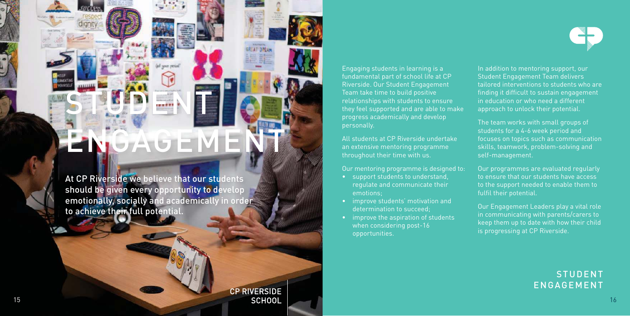### **LGEME**

STUDENT

At CP Riverside we believe that our students should be given every opportunity to develop emotionally, socially and academically in order to achieve their full potential.

**CP RIVERSIDE** 15 and 20 and 20 and 20 and 20 and 20 and 20 and 20 and 20 and 20 and 20 and 20 and 20 and 20 and 20 and 20 and 20 and 20 and 20 and 20 and 20 and 20 and 20 and 20 and 20 and 20 and 20 and 20 and 20 and 20 and 20 and 20 an

Engaging students in learning is a fundamental part of school life at CP Riverside. Our Student Engagement Team take time to build positive relationships with students to ensure they feel supported and are able to make progress academically and develop personally.

All students at CP Riverside undertake an extensive mentoring programme throughout their time with us.

Our mentoring programme is designed to:

- support students to understand, regulate and communicate their emotions;
- improve students' motivation and determination to succeed;
- improve the aspiration of students when considering post-16 opportunities.

In addition to mentoring support, our Student Engagement Team delivers tailored interventions to students who are finding it difficult to sustain engagement in education or who need a different approach to unlock their potential.

The team works with small groups of students for a 4-6 week period and focuses on topics such as communication skills, teamwork, problem-solving and self-management.

Our programmes are evaluated regularly to ensure that our students have access to the support needed to enable them to fulfil their potential.

Our Engagement Leaders play a vital role in communicating with parents/carers to keep them up to date with how their child is progressing at CP Riverside.

#### **STUDENT** ENGAGEMENT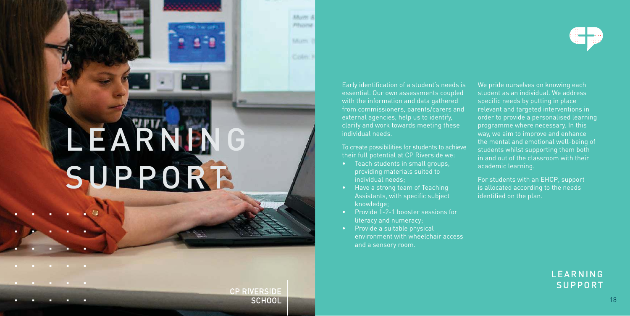# LEARNING SUPPORT

Early identification of a student's needs is essential. Our own assessments coupled with the information and data gathered from commissioners, parents/carers and external agencies, help us to identify, clarify and work towards meeting these individual needs.

**Kham A Principal** 

**Balcares: 3** 

Critim 1

**CP RIVERSIDE SCHOOL** 

To create possibilities for students to achieve their full potential at CP Riverside we:

- Teach students in small groups, providing materials suited to individual needs;
- Have a strong team of Teaching Assistants, with specific subject knowledge;
- Provide 1-2-1 booster sessions for literacy and numeracy;
- Provide a suitable physical environment with wheelchair access and a sensory room.

We pride ourselves on knowing each student as an individual. We address specific needs by putting in place relevant and targeted interventions in order to provide a personalised learning programme where necessary. In this way, we aim to improve and enhance the mental and emotional well-being of students whilst supporting them both in and out of the classroom with their academic learning.

For students with an EHCP, support is allocated according to the needs identified on the plan.



LEARNING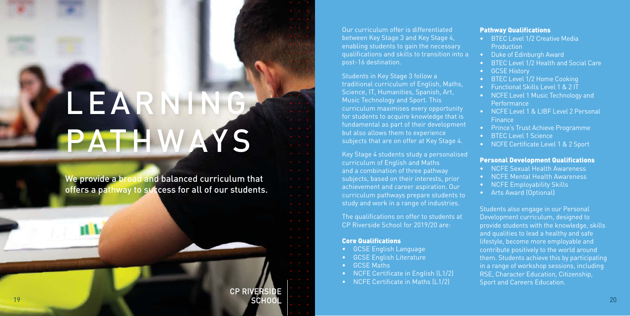### LEARNING PATHWAYS

We provide a broad and balanced curriculum that offers a pathway to success for all of our students.

> **CP RIVERSIDE SCHOOL**

19

Our curriculum offer is differentiated between Key Stage 3 and Key Stage 4, enabling students to gain the necessary qualifications and skills to transition into a post-16 destination.

Students in Key Stage 3 follow a traditional curriculum of English, Maths, Science, IT, Humanities, Spanish, Art, Music Technology and Sport. This curriculum maximises every opportunity for students to acquire knowledge that is fundamental as part of their development but also allows them to experience subjects that are on offer at Key Stage 4.

Key Stage 4 students study a personalised curriculum of English and Maths and a combination of three pathway subjects, based on their interests, prior achievement and career aspiration. Our curriculum pathways prepare students to study and work in a range of industries.

The qualifications on offer to students at CP Riverside School for 2019/20 are:

#### Core Qualifications

- GCSE English Language
- GCSE English Literature
- GCSE Maths
- NCFE Certificate in English (L1/2)
- NCFE Certificate in Maths (L1/2)

#### Pathway Qualifications

- BTEC Level 1/2 Creative Media **Production**
- Duke of Edinburgh Award
- BTEC Level 1/2 Health and Social Care
- GCSE History
- BTEC Level 1/2 Home Cooking
- Functional Skills Level 1 & 2 IT
- NCFE Level 1 Music Technology and Performance
- NCFE Level 1 & LIBF Level 2 Personal **Finance**
- Prince's Trust Achieve Programme
- BTEC Level 1 Science
- NCFE Certificate Level 1 & 2 Sport

#### Personal Development Qualifications

- NCFE Sexual Health Awareness
- NCFE Mental Health Awareness
- NCFE Employability Skills
- Arts Award (Optional)

Students also engage in our Personal Development curriculum, designed to provide students with the knowledge, skills and qualities to lead a healthy and safe lifestyle, become more employable and contribute positively to the world around them. Students achieve this by participating in a range of workshop sessions, including RSE, Character Education, Citizenship, Sport and Careers Education.

20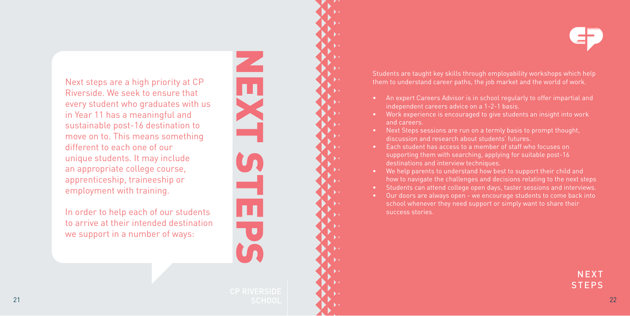Next steps are a high priority at CP Riverside. We seek to ensure that every student who graduates with us in Year 11 has a meaningful and sustainable post-16 destination to move on to. This means something different to each one of our unique students. It may include an appropriate college course, apprenticeship, traineeship or employment with training.

In order to help each of our students to arrive at their intended destination we support in a number of ways:

Students are taught key skills through employability workshops which help them to understand career paths, the job market and the world of work.

- An expert Careers Advisor is in school regularly to offer impartial and independent careers advice on a 1-2-1 basis.
- Work experience is encouraged to give students an insight into work and careers.
- Next Steps sessions are run on a termly basis to prompt thought, discussion and research about students' futures.
- Each student has access to a member of staff who focuses on supporting them with searching, applying for suitable post-16 destinations and interview techniques.
- We help parents to understand how best to support their child and how to navigate the challenges and decisions relating to the next steps
- Students can attend college open days, taster sessions and interviews.
- Our doors are always open we encourage students to come back into school whenever they need support or simply want to share their success stories.

**NEXT STEPS**